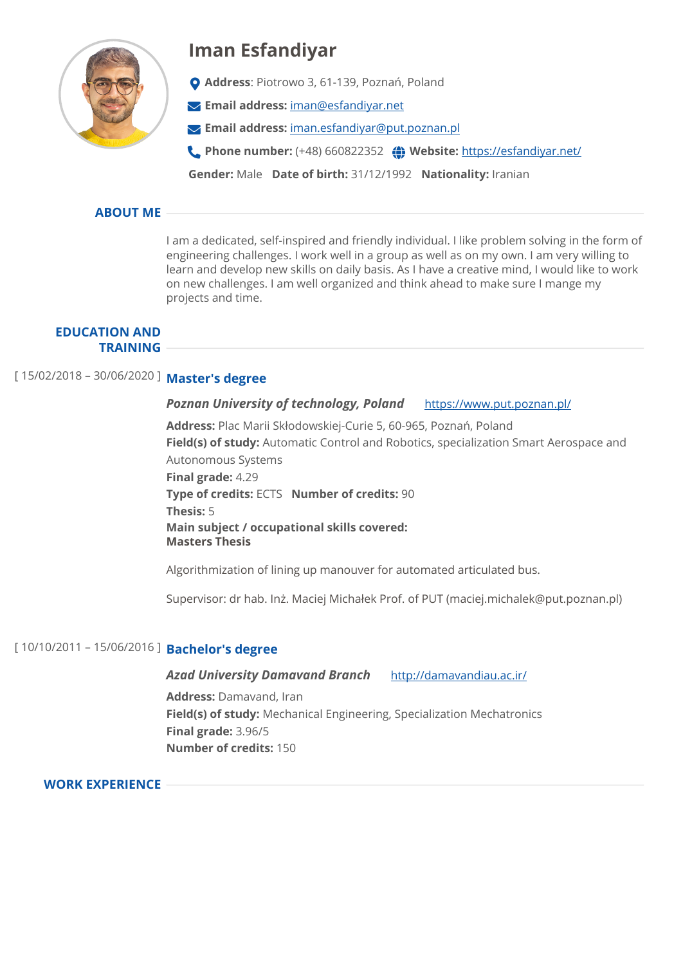

# **Iman Esfandiyar**

- **Address**: Piotrowo 3, 61-139, Poznań, Poland
- **Email address:** [iman@esfandiyar.net](mailto:iman@esfandiyar.net)
- **Email address:** [iman.esfandiyar@put.poznan.pl](mailto:iman.esfandiyar@put.poznan.pl)
- **Phone number:** (+48) 660822352 **Website:** <https://esfandiyar.net/>

**Gender:** Male **Date of birth:** 31/12/1992 **Nationality:** Iranian

# **ABOUT ME**

I am a dedicated, self-inspired and friendly individual. I like problem solving in the form of engineering challenges. I work well in a group as well as on my own. I am very willing to learn and develop new skills on daily basis. As I have a creative mind, I would like to work on new challenges. I am well organized and think ahead to make sure I mange my projects and time.

#### **EDUCATION AND TRAINING**

# [ 15/02/2018 – 30/06/2020 ] **Master's degree**

#### *Poznan University of technology, Poland* <https://www.put.poznan.pl/>

**Address:** Plac Marii Skłodowskiej-Curie 5, 60-965, Poznań, Poland **Field(s) of study:** Automatic Control and Robotics, specialization Smart Aerospace and Autonomous Systems **Final grade:** 4.29 **Type of credits:** ECTS **Number of credits:** 90 **Thesis:** 5 **Main subject / occupational skills covered: Masters Thesis**

Algorithmization of lining up manouver for automated articulated bus.

Supervisor: dr hab. Inż. Maciej Michałek Prof. of PUT (maciej.michalek@put.poznan.pl)

# [ 10/10/2011 – 15/06/2016 ] **Bachelor's degree**

### *Azad University Damavand Branch* <http://damavandiau.ac.ir/>

**Address:** Damavand, Iran **Field(s) of study:** Mechanical Engineering, Specialization Mechatronics **Final grade:** 3.96/5 **Number of credits:** 150

# **WORK EXPERIENCE**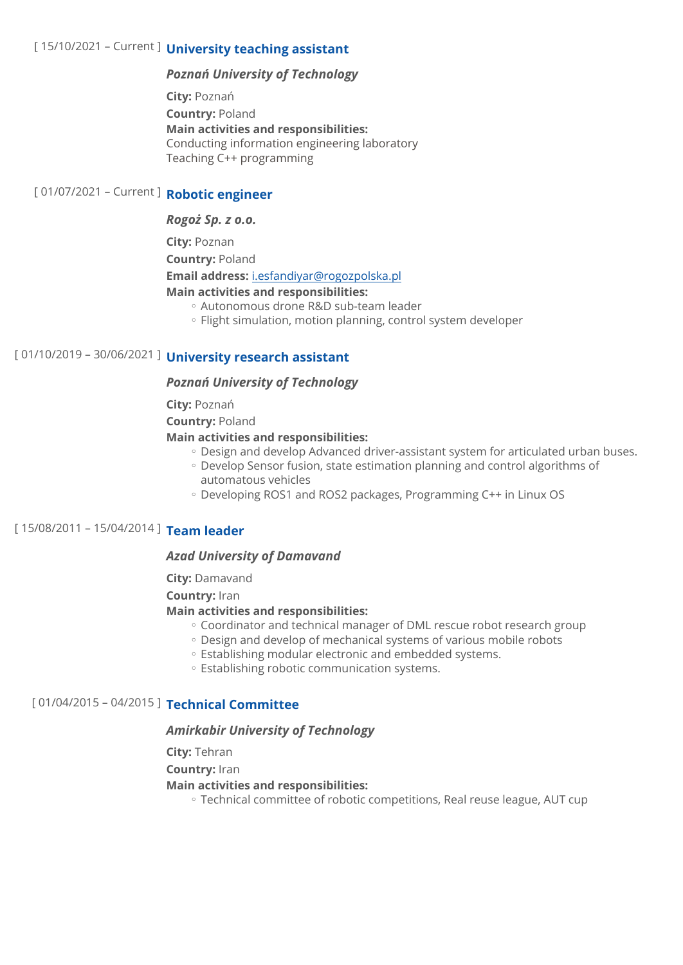# [ 15/10/2021 – Current ] **University teaching assistant**

### *Poznań University of Technology*

**City:** Poznań **Country:** Poland **Main activities and responsibilities:**  Conducting information engineering laboratory Teaching C++ programming

# [ 01/07/2021 – Current ] **Robotic engineer**

#### *Rogoż Sp. z o.o.*

**City:** Poznan

**Country:** Poland

**Email address:** [i.esfandiyar@rogozpolska.pl](mailto:i.esfandiyar@rogozpolska.pl)

**Main activities and responsibilities:** 

- Autonomous drone R&D sub-team leader ◦
- Flight simulation, motion planning, control system developer

# [ 01/10/2019 – 30/06/2021 ] **University research assistant**

#### *Poznań University of Technology*

**City:** Poznań

**Country:** Poland

#### **Main activities and responsibilities:**

- Design and develop Advanced driver-assistant system for articulated urban buses.
- Develop Sensor fusion, state estimation planning and control algorithms of automatous vehicles
- Developing ROS1 and ROS2 packages, Programming C++ in Linux OS

# [ 15/08/2011 – 15/04/2014 ] **Team leader**

#### *Azad University of Damavand*

**City:** Damavand

#### **Country:** Iran

#### **Main activities and responsibilities:**

- Coordinator and technical manager of DML rescue robot research group
- Design and develop of mechanical systems of various mobile robots ◦
- Establishing modular electronic and embedded systems. ◦
- Establishing robotic communication systems.

## [ 01/04/2015 – 04/2015 ] **Technical Committee**

#### *Amirkabir University of Technology*

**City:** Tehran

**Country:** Iran

#### **Main activities and responsibilities:**

Technical committee of robotic competitions, Real reuse league, AUT cup ◦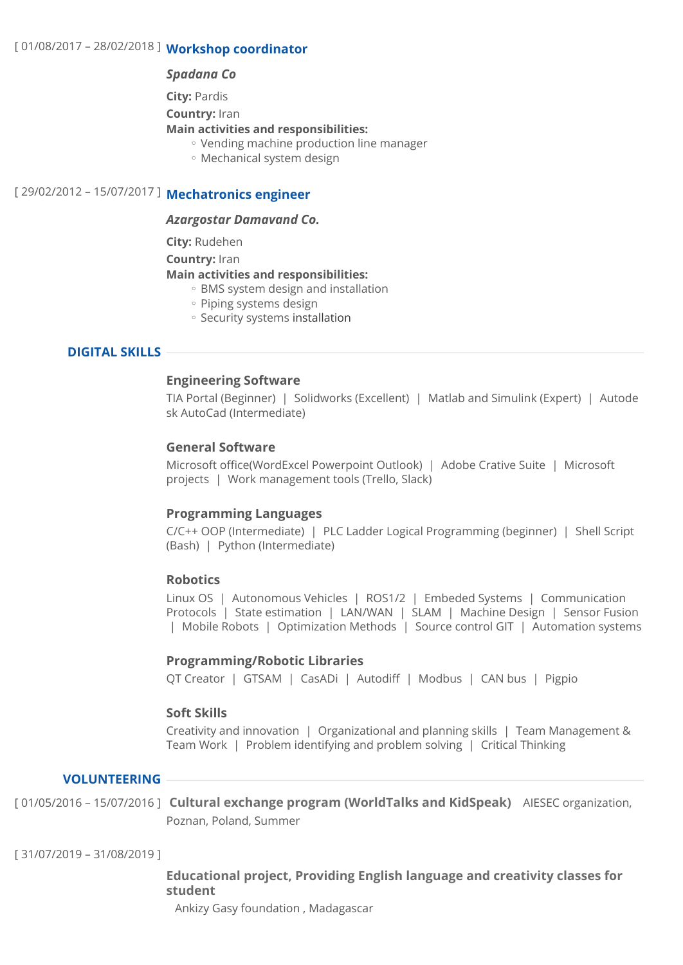#### *Spadana Co*

**City:** Pardis

**Country:** Iran

#### **Main activities and responsibilities:**

- Vending machine production line manager ◦
- Mechanical system design ◦

# [ 29/02/2012 – 15/07/2017 ] **Mechatronics engineer**

#### *Azargostar Damavand Co.*

**City:** Rudehen

**Country:** Iran

#### **Main activities and responsibilities:**

- BMS system design and installation
- Piping systems design
- Security systems installation

## **DIGITAL SKILLS**

#### **Engineering Software**

TIA Portal (Beginner) | Solidworks (Excellent) | Matlab and Simulink (Expert) | Autode sk AutoCad (Intermediate)

#### **General Software**

Microsoft office(WordExcel Powerpoint Outlook) | Adobe Crative Suite | Microsoft projects | Work management tools (Trello, Slack)

#### **Programming Languages**

C/C++ OOP (Intermediate) | PLC Ladder Logical Programming (beginner) | Shell Script (Bash) | Python (Intermediate)

#### **Robotics**

Linux OS | Autonomous Vehicles | ROS1/2 | Embeded Systems | Communication Protocols | State estimation | LAN/WAN | SLAM | Machine Design | Sensor Fusion | Mobile Robots | Optimization Methods | Source control GIT | Automation systems

#### **Programming/Robotic Libraries**

QT Creator | GTSAM | CasADi | Autodiff | Modbus | CAN bus | Pigpio

#### **Soft Skills**

Creativity and innovation | Organizational and planning skills | Team Management & Team Work | Problem identifying and problem solving | Critical Thinking

# **VOLUNTEERING**

[ 01/05/2016 – 15/07/2016 ] **Cultural exchange program (WorldTalks and KidSpeak)** AIESEC organization, Poznan, Poland, Summer

[ 31/07/2019 – 31/08/2019 ]

# **Educational project, Providing English language and creativity classes for student**

Ankizy Gasy foundation , Madagascar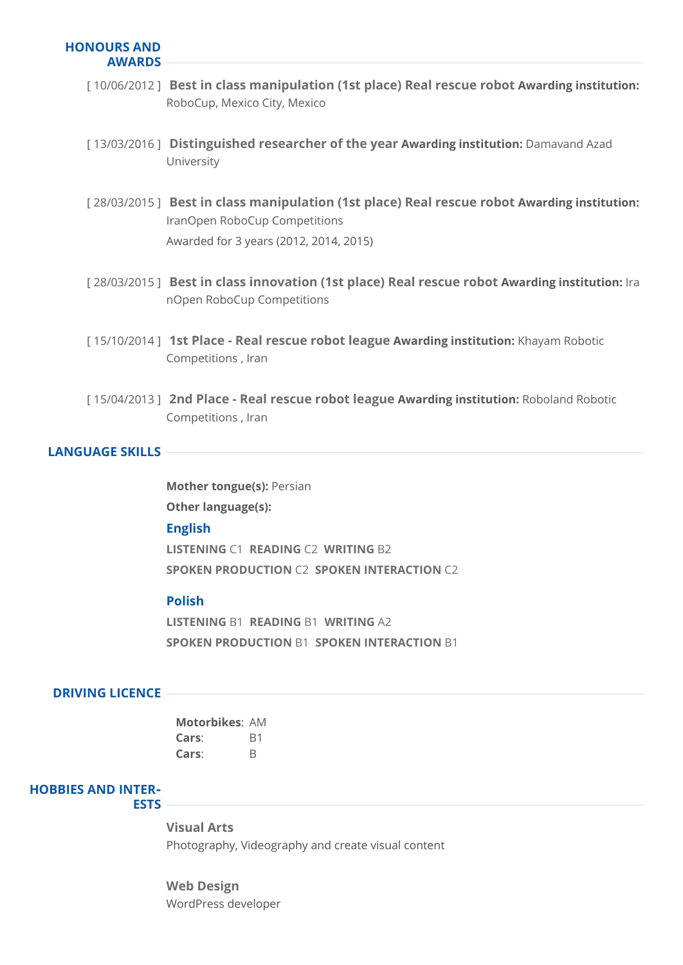#### **HONOURS AND AWARDS**

- [ 10/06/2012 ] **Best in class manipulation (1st place) Real rescue robot Awarding institution:**  RoboCup, Mexico City, Mexico
- [ 13/03/2016 ] **Distinguished researcher of the year Awarding institution:** Damavand Azad University
- [ 28/03/2015 ] **Best in class manipulation (1st place) Real rescue robot Awarding institution:**  IranOpen RoboCup Competitions Awarded for 3 years (2012, 2014, 2015)
- [ 28/03/2015 ] **Best in class innovation (1st place) Real rescue robot Awarding institution:** Ira nOpen RoboCup Competitions
- [ 15/10/2014 ] **1st Place Real rescue robot league Awarding institution:** Khayam Robotic Competitions , Iran
- [ 15/04/2013 ] **2nd Place Real rescue robot league Awarding institution:** Roboland Robotic Competitions , Iran

## **LANGUAGE SKILLS**

**English LISTENING** C1 **READING** C2 **WRITING** B2 **SPOKEN PRODUCTION** C2 **SPOKEN INTERACTION** C2 **Mother tongue(s):** Persian **Other language(s):** 

## **Polish**

**LISTENING** B1 **READING** B1 **WRITING** A2 **SPOKEN PRODUCTION** B1 **SPOKEN INTERACTION** B1

#### **DRIVING LICENCE**

| Motorbikes: AM |    |
|----------------|----|
| Cars:          | B1 |
| Cars:          | B  |

# **HOBBIES AND INTER‐**

#### **ESTS**

**Visual Arts** Photography, Videography and create visual content

**Web Design** WordPress developer